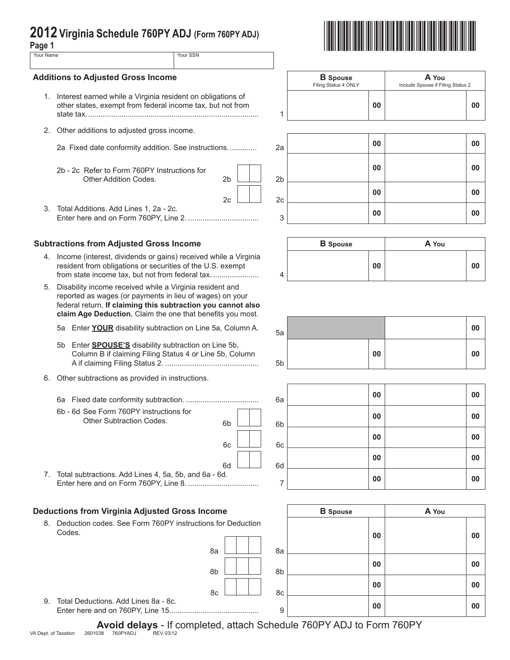# **2012 Virginia Schedule 760PY ADJ (Form 760PY ADJ) Page 1** \*VAPADJ112888\*

| ۰,<br>× | ۰. |  |
|---------|----|--|

| uyv i     |          |
|-----------|----------|
| Your Name | Your SSN |
|           |          |

### **Additions to Adjusted Gross Income**

- 1. Interest earned while a Virginia resident on ob other states, exempt from federal income tax, state tax................................................................................... 1
- 2. Other additions to adjusted gross income.
	-
	- 2b 2c Refer to Form 760PY Instructions for Other Addition Codes. 2b 2b 2b
- 3. Total Additions. Add Lines 1, 2a 2c.

# **Subtractions from Adjusted Gross Income**

- 4. Income (interest, dividends or gains) received while a Virginia resident from obligations or securities of the U.S. exempt from state income tax, but not from federal tax. ........................
- 5. Disability income received while a Virginia resident and reported as wages (or payments in lieu of wages) on your federal return. **If claiming this subtraction you cannot also claim Age Deduction.** Claim the one that benefits you most.
	- 5a Enter **YOUR** disability subtraction on Line 5a, Column A.
	- 5b Enter **SPOUSE'S** disability subtraction on Line 5b, Column B if claiming Filing Status 4 or Line 5b, Column A if claiming Filing Status 2. ............................................. 5b
- 6. Other subtractions as provided in instructions.
	- 6a Fixed date conformity subtraction. ................................... 6a **<sup>00</sup> <sup>00</sup>**
	- 6b 6d See Form 760PY instructions for Other Subtraction Codes.

| 6b       |  | 6b |
|----------|--|----|
| 6c       |  | 6c |
| 6d<br>d. |  | 6d |
|          |  |    |

8a 8a

7. Total subtractions. Add Lines 4, 5a, 5b, and 6a - 6 Enter here and on Form 760PY, Line 8. .................................. <sup>7</sup> **<sup>00</sup> <sup>00</sup>**

# **Deductions from Virginia Adjusted Gross Income**

8. Deduction codes. See Form 760PY instructions for Deduction Codes.

|                              | <b>B</b> Spouse<br>Filing Status 4 ONLY | A You<br>Include Spouse if Filing Status 2 |
|------------------------------|-----------------------------------------|--------------------------------------------|
| ligations of<br>but not from | 00                                      | 00                                         |



|   | <b>B</b> Spouse |    | A You |    |
|---|-----------------|----|-------|----|
| 4 |                 | 00 |       | 00 |

| 5a |    | 00 |  |
|----|----|----|--|
| 5b | 00 | 00 |  |

| 6a | 00 | 00 |
|----|----|----|
| 6b | 00 | 00 |
| 6c | 00 | 00 |
| 6d | 00 | 00 |
| 7  | 00 | 00 |

| ome             | <b>B</b> Spouse |    | A You |    |
|-----------------|-----------------|----|-------|----|
| s for Deduction |                 | 00 |       | 00 |
| 8a              | 8a              |    |       |    |
| 8b              | 8b              | 00 |       | 00 |
| 8c              | 8c              | 00 |       | 00 |
|                 | 9               | 00 |       | 00 |

9. Total Deductions. Add Lines 8a - 8c. Enter here and on 760PY, Line 15........................................... <sup>9</sup> **<sup>00</sup> <sup>00</sup>**

Avoid delays - If completed, attach Schedule 760PY ADJ to Form 760PY<br>038 760PYADJ REV03/12